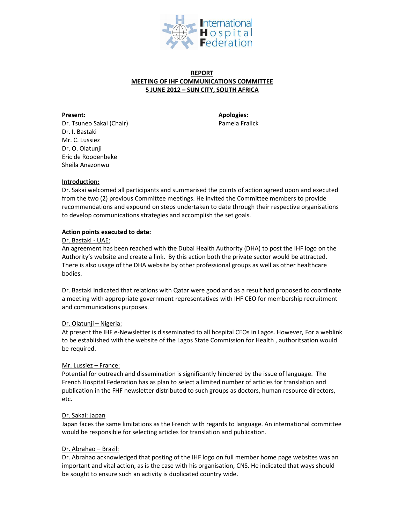

# **REPORT MEETING OF IHF COMMUNICATIONS COMMITTEE 5 JUNE 2012 – SUN CITY, SOUTH AFRICA**

**Present: Apologies:** Dr. Tsuneo Sakai (Chair) Pamela Fralick Dr. I. Bastaki Mr. C. Lussiez Dr. O. Olatunji Eric de Roodenbeke Sheila Anazonwu

# **Introduction:**

Dr. Sakai welcomed all participants and summarised the points of action agreed upon and executed from the two (2) previous Committee meetings. He invited the Committee members to provide recommendations and expound on steps undertaken to date through their respective organisations to develop communications strategies and accomplish the set goals.

## **Action points executed to date:**

#### Dr. Bastaki - UAE:

An agreement has been reached with the Dubai Health Authority (DHA) to post the IHF logo on the Authority's website and create a link. By this action both the private sector would be attracted. There is also usage of the DHA website by other professional groups as well as other healthcare bodies.

Dr. Bastaki indicated that relations with Qatar were good and as a result had proposed to coordinate a meeting with appropriate government representatives with IHF CEO for membership recruitment and communications purposes.

## Dr. Olatunji – Nigeria:

At present the IHF e-Newsletter is disseminated to all hospital CEOs in Lagos. However, For a weblink to be established with the website of the Lagos State Commission for Health , authoritsation would be required.

## Mr. Lussiez – France:

Potential for outreach and dissemination is significantly hindered by the issue of language. The French Hospital Federation has as plan to select a limited number of articles for translation and publication in the FHF newsletter distributed to such groups as doctors, human resource directors, etc.

## Dr. Sakai: Japan

Japan faces the same limitations as the French with regards to language. An international committee would be responsible for selecting articles for translation and publication.

## Dr. Abrahao – Brazil:

Dr. Abrahao acknowledged that posting of the IHF logo on full member home page websites was an important and vital action, as is the case with his organisation, CNS. He indicated that ways should be sought to ensure such an activity is duplicated country wide.